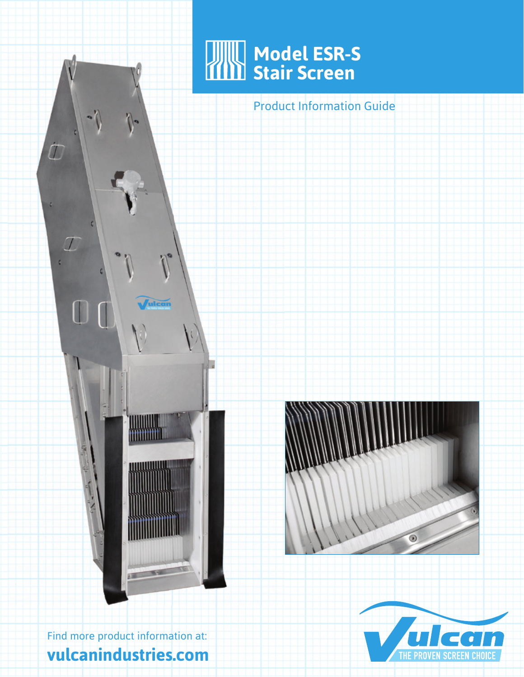

Product Information Guide



d

 $\hat{\mathcal{L}}$ 

 $\sqrt{2}$ 

Find more product information at: **vulcanindustries.com**